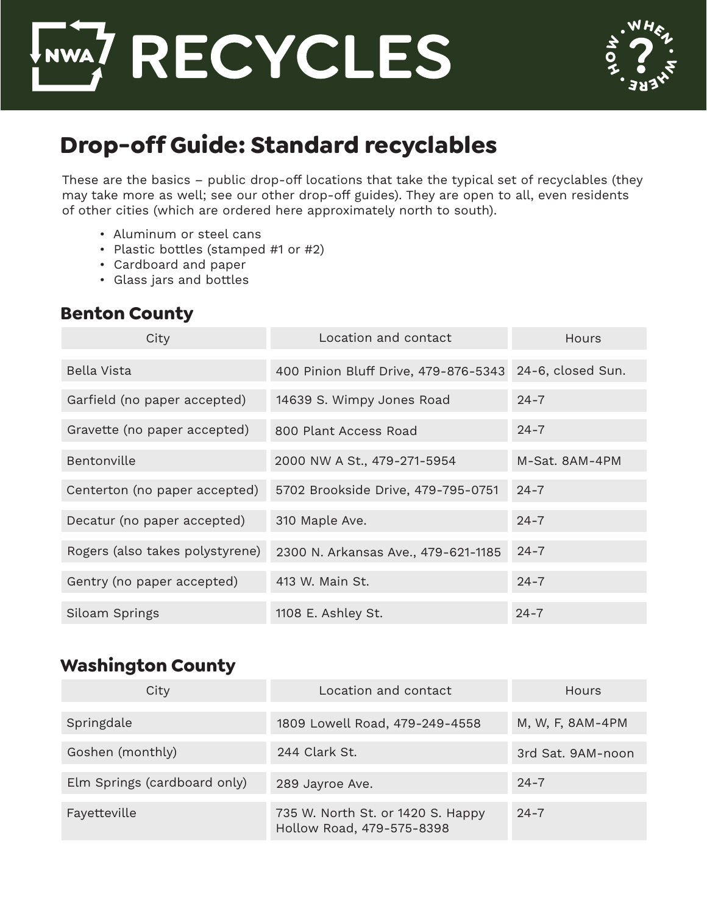



# **Drop-off Guide: Standard recyclables**

These are the basics – public drop-off locations that take the typical set of recyclables (they may take more as well; see our other drop-off guides). They are open to all, even residents of other cities (which are ordered here approximately north to south).

- Aluminum or steel cans
- Plastic bottles (stamped #1 or #2)
- Cardboard and paper
- Glass jars and bottles

#### **Benton County**

| City                            | Location and contact                 | Hours             |
|---------------------------------|--------------------------------------|-------------------|
| Bella Vista                     | 400 Pinion Bluff Drive, 479-876-5343 | 24-6, closed Sun. |
| Garfield (no paper accepted)    | 14639 S. Wimpy Jones Road            | $24 - 7$          |
| Gravette (no paper accepted)    | 800 Plant Access Road                | $24 - 7$          |
| Bentonville                     | 2000 NW A St., 479-271-5954          | M-Sat. 8AM-4PM    |
| Centerton (no paper accepted)   | 5702 Brookside Drive, 479-795-0751   | $24 - 7$          |
| Decatur (no paper accepted)     | 310 Maple Ave.                       | $24 - 7$          |
| Rogers (also takes polystyrene) | 2300 N. Arkansas Ave., 479-621-1185  | $24 - 7$          |
| Gentry (no paper accepted)      | 413 W. Main St.                      | $24 - 7$          |
| Siloam Springs                  | 1108 E. Ashley St.                   | $24 - 7$          |

### **Washington County**

| City                         | Location and contact                                           | <b>Hours</b>      |
|------------------------------|----------------------------------------------------------------|-------------------|
| Springdale                   | 1809 Lowell Road, 479-249-4558                                 | M, W, F, 8AM-4PM  |
| Goshen (monthly)             | 244 Clark St.                                                  | 3rd Sat. 9AM-noon |
| Elm Springs (cardboard only) | 289 Jayroe Ave.                                                | $24 - 7$          |
| Fayetteville                 | 735 W. North St. or 1420 S. Happy<br>Hollow Road, 479-575-8398 | $24 - 7$          |